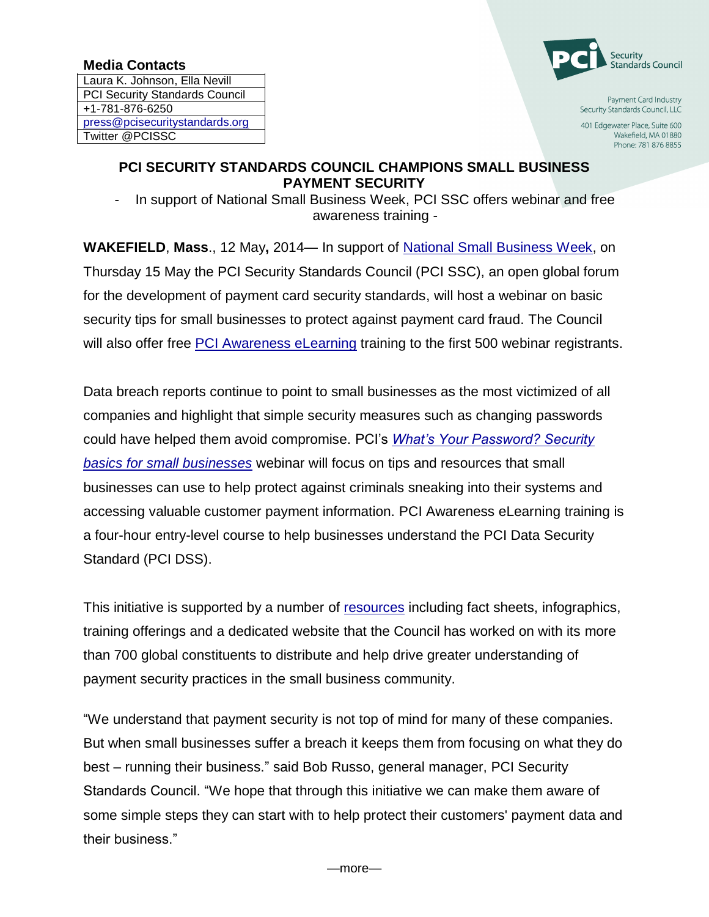## **Media Contacts**

Laura K. Johnson, Ella Nevill PCI Security Standards Council +1-781-876-6250 [press@pcisecuritystandards.org](mailto:press@pcisecuritystandards.org) Twitter @PCISSC



Payment Card Industry Security Standards Council, LLC

401 Edgewater Place, Suite 600 Wakefield, MA 01880 Phone: 781 876 8855

## **PCI SECURITY STANDARDS COUNCIL CHAMPIONS SMALL BUSINESS PAYMENT SECURITY**

In support of National Small Business Week, PCI SSC offers webinar and free awareness training -

**WAKEFIELD**, **Mass**., 12 May**,** 2014— In support of [National Small Business Week,](http://www.sba.gov/nsbw/nsbw) on Thursday 15 May the PCI Security Standards Council (PCI SSC), an open global forum for the development of payment card security standards, will host a webinar on basic security tips for small businesses to protect against payment card fraud. The Council will also offer free [PCI Awareness eLearning](https://www.pcisecuritystandards.org/training/non_certification_training.php) training to the first 500 webinar registrants.

Data breach reports continue to point to small businesses as the most victimized of all companies and highlight that simple security measures such as changing passwords could have helped them avoid compromise. PCI's *[What's Your Password? Security](https://www.pcisecuritystandards.org/training/webinars.php)  [basics for small businesses](https://www.pcisecuritystandards.org/training/webinars.php)* webinar will focus on tips and resources that small businesses can use to help protect against criminals sneaking into their systems and accessing valuable customer payment information. PCI Awareness eLearning training is a four-hour entry-level course to help businesses understand the PCI Data Security Standard (PCI DSS).

This initiative is supported by a number of [resources](https://www.pcisecuritystandards.org/news_events/quick_resources.php) including fact sheets, infographics, training offerings and a dedicated website that the Council has worked on with its more than 700 global constituents to distribute and help drive greater understanding of payment security practices in the small business community.

"We understand that payment security is not top of mind for many of these companies. But when small businesses suffer a breach it keeps them from focusing on what they do best – running their business." said Bob Russo, general manager, PCI Security Standards Council. "We hope that through this initiative we can make them aware of some simple steps they can start with to help protect their customers' payment data and their business."